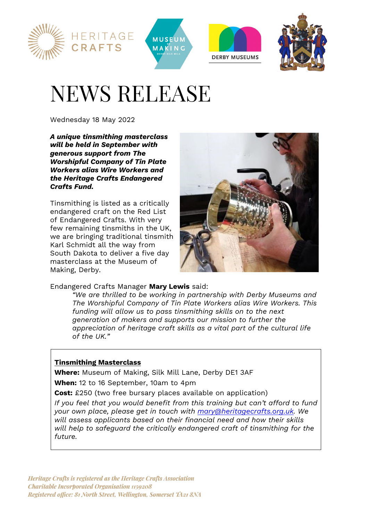





# NEWS RELEASE

Wednesday 18 May 2022

*A unique tinsmithing masterclass will be held in September with generous support from The Worshipful Company of Tin Plate Workers alias Wire Workers and the Heritage Crafts Endangered Crafts Fund.* 

Tinsmithing is listed as a critically endangered craft on the Red List of Endangered Crafts. With very few remaining tinsmiths in the UK, we are bringing traditional tinsmith Karl Schmidt all the way from South Dakota to deliver a five day masterclass at the Museum of Making, Derby.



# Endangered Crafts Manager **Mary Lewis** said:

*"We are thrilled to be working in partnership with Derby Museums and The Worshipful Company of Tin Plate Workers alias Wire Workers. This funding will allow us to pass tinsmithing skills on to the next generation of makers and supports our mission to further the appreciation of heritage craft skills as a vital part of the cultural life of the UK."* 

# **Tinsmithing Masterclass**

**Where:** Museum of Making, Silk Mill Lane, Derby DE1 3AF **When:** 12 to 16 September, 10am to 4pm

**Cost:** £250 (two free bursary places available on application)

*If you feel that you would benefit from this training but can't afford to fund your own place, please get in touch with mary@heritagecrafts.org.uk. We will assess applicants based on their financial need and how their skills will help to safeguard the critically endangered craft of tinsmithing for the future.*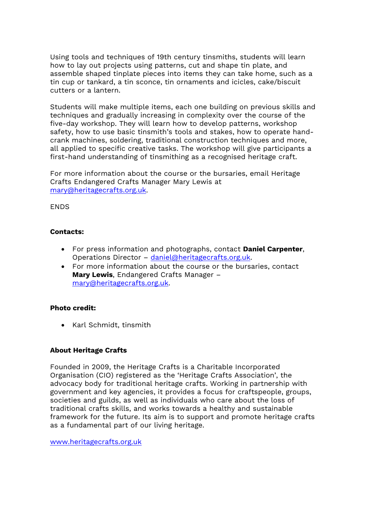Using tools and techniques of 19th century tinsmiths, students will learn how to lay out projects using patterns, cut and shape tin plate, and assemble shaped tinplate pieces into items they can take home, such as a tin cup or tankard, a tin sconce, tin ornaments and icicles, cake/biscuit cutters or a lantern.

Students will make multiple items, each one building on previous skills and techniques and gradually increasing in complexity over the course of the five-day workshop. They will learn how to develop patterns, workshop safety, how to use basic tinsmith's tools and stakes, how to operate handcrank machines, soldering, traditional construction techniques and more, all applied to specific creative tasks. The workshop will give participants a first-hand understanding of tinsmithing as a recognised heritage craft.

For more information about the course or the bursaries, email Heritage Crafts Endangered Crafts Manager Mary Lewis at mary@heritagecrafts.org.uk.

## **FNDS**

## **Contacts:**

- For press information and photographs, contact **Daniel Carpenter**, Operations Director – daniel@heritagecrafts.org.uk.
- For more information about the course or the bursaries, contact **Mary Lewis**, Endangered Crafts Manager – mary@heritagecrafts.org.uk.

#### **Photo credit:**

• Karl Schmidt, tinsmith

# **About Heritage Crafts**

Founded in 2009, the Heritage Crafts is a Charitable Incorporated Organisation (CIO) registered as the 'Heritage Crafts Association', the advocacy body for traditional heritage crafts. Working in partnership with government and key agencies, it provides a focus for craftspeople, groups, societies and guilds, as well as individuals who care about the loss of traditional crafts skills, and works towards a healthy and sustainable framework for the future. Its aim is to support and promote heritage crafts as a fundamental part of our living heritage.

www.heritagecrafts.org.uk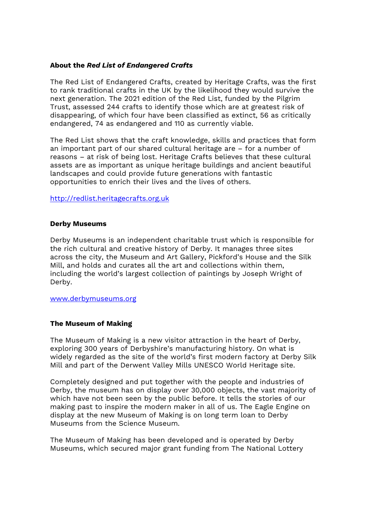#### **About the** *Red List of Endangered Crafts*

The Red List of Endangered Crafts, created by Heritage Crafts, was the first to rank traditional crafts in the UK by the likelihood they would survive the next generation. The 2021 edition of the Red List, funded by the Pilgrim Trust, assessed 244 crafts to identify those which are at greatest risk of disappearing, of which four have been classified as extinct, 56 as critically endangered, 74 as endangered and 110 as currently viable.

The Red List shows that the craft knowledge, skills and practices that form an important part of our shared cultural heritage are – for a number of reasons – at risk of being lost. Heritage Crafts believes that these cultural assets are as important as unique heritage buildings and ancient beautiful landscapes and could provide future generations with fantastic opportunities to enrich their lives and the lives of others.

http://redlist.heritagecrafts.org.uk

#### **Derby Museums**

Derby Museums is an independent charitable trust which is responsible for the rich cultural and creative history of Derby. It manages three sites across the city, the Museum and Art Gallery, Pickford's House and the Silk Mill, and holds and curates all the art and collections within them, including the world's largest collection of paintings by Joseph Wright of Derby.

www.derbymuseums.org

#### **The Museum of Making**

The Museum of Making is a new visitor attraction in the heart of Derby, exploring 300 years of Derbyshire's manufacturing history. On what is widely regarded as the site of the world's first modern factory at Derby Silk Mill and part of the Derwent Valley Mills UNESCO World Heritage site.

Completely designed and put together with the people and industries of Derby, the museum has on display over 30,000 objects, the vast majority of which have not been seen by the public before. It tells the stories of our making past to inspire the modern maker in all of us. The Eagle Engine on display at the new Museum of Making is on long term loan to Derby Museums from the Science Museum.

The Museum of Making has been developed and is operated by Derby Museums, which secured major grant funding from The National Lottery